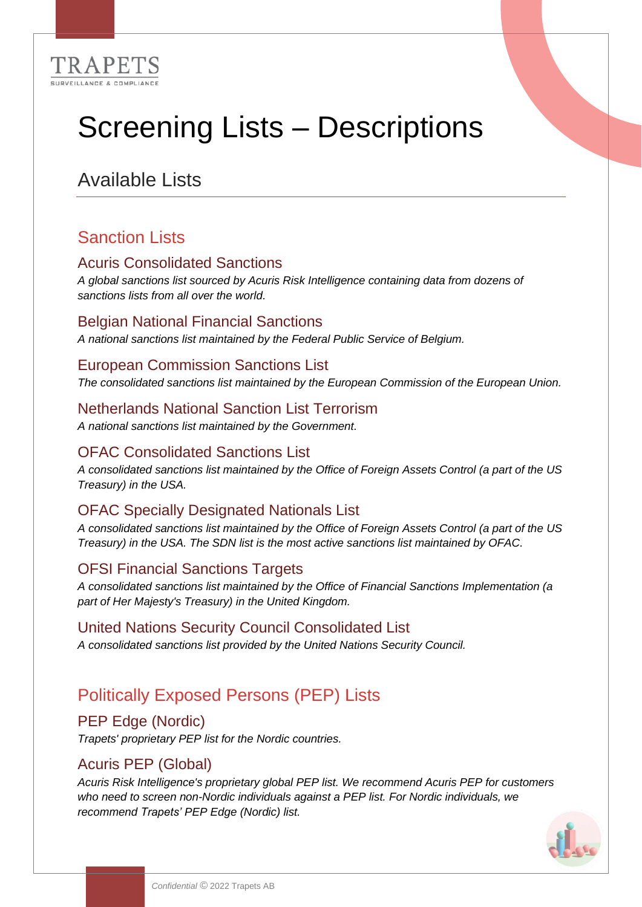

# Screening Lists – Descriptions

# Available Lists

## Sanction Lists

#### Acuris Consolidated Sanctions

*A global sanctions list sourced by Acuris Risk Intelligence containing data from dozens of sanctions lists from all over the world.*

#### Belgian National Financial Sanctions

*A national sanctions list maintained by the Federal Public Service of Belgium.*

#### European Commission Sanctions List

*The consolidated sanctions list maintained by the European Commission of the European Union.*

#### Netherlands National Sanction List Terrorism

*A national sanctions list maintained by the Government.*

#### OFAC Consolidated Sanctions List

*A consolidated sanctions list maintained by the Office of Foreign Assets Control (a part of the US Treasury) in the USA.*

#### OFAC Specially Designated Nationals List

*A consolidated sanctions list maintained by the Office of Foreign Assets Control (a part of the US Treasury) in the USA. The SDN list is the most active sanctions list maintained by OFAC.* 

#### OFSI Financial Sanctions Targets

*A consolidated sanctions list maintained by the Office of Financial Sanctions Implementation (a part of Her Majesty's Treasury) in the United Kingdom.*

#### United Nations Security Council Consolidated List

*A consolidated sanctions list provided by the United Nations Security Council.*

## Politically Exposed Persons (PEP) Lists

#### PEP Edge (Nordic)

*Trapets' proprietary PEP list for the Nordic countries.*

#### Acuris PEP (Global)

*Acuris Risk Intelligence's proprietary global PEP list. We recommend Acuris PEP for customers who need to screen non-Nordic individuals against a PEP list. For Nordic individuals, we recommend Trapets' PEP Edge (Nordic) list.*